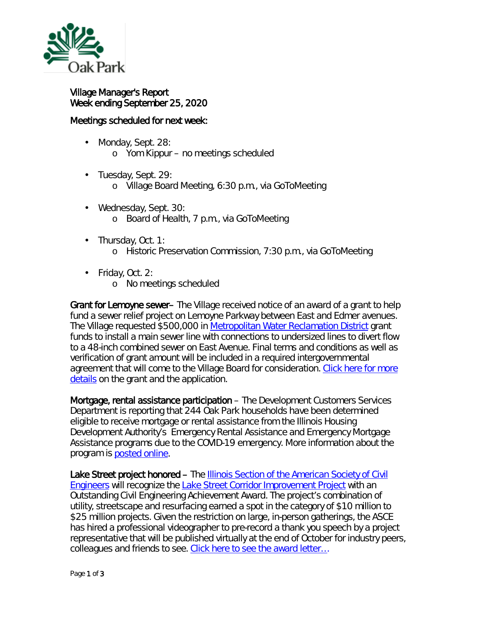

¥,

## Village Manager's Report Week ending September 25, 2020

## Meetings scheduled for next week:

- Monday, Sept. 28: o Yom Kippur – no meetings scheduled
- Tuesday, Sept. 29:
	- o Village Board Meeting, 6:30 p.m., via GoToMeeting
- Wednesday, Sept. 30: o Board of Health, 7 p.m., via GoToMeeting
- Thursday, Oct. 1:
	- o Historic Preservation Commission, 7:30 p.m., via GoToMeeting
- Friday, Oct. 2:  $\mathbf{r}$ 
	- o No meetings scheduled

Grant for Lemoyne sewer– The Village received notice of an award of a grant to help fund a sewer relief project on Lemoyne Parkway between East and Edmer avenues. The Village requested \$500,000 in [Metropolitan Water Reclamation District](https://mwrd.org/) grant funds to install a main sewer line with connections to undersized lines to divert flow to a 48-inch combined sewer on East Avenue. Final terms and conditions as well as verification of grant amount will be included in a required intergovernmental agreement that will come to the Village Board for consideration. Click here for more [details](https://www.oak-park.us/sites/default/files/456678891/2020-09-24-mwrd-grant-lemoyne.pdf) on the grant and the application.

Mortgage, rental assistance participation – The Development Customers Services Department is reporting that 244 Oak Park households have been determined eligible to receive mortgage or rental assistance from the Illinois Housing Development Authority's Emergency Rental Assistance and Emergency Mortgage Assistance programs due to the COVID-19 emergency. More information about the program is [posted online.](https://www.ihda.org/about-ihda/covid-19-housing-resources-information/)

Lake Street project honored – The Illinois Section of the American Society of Civil **[Engineers](https://www.isasce.org/)** will recognize the [Lake Street Corridor Improvement Project](https://www.isasce.org/) with an Outstanding Civil Engineering Achievement Award. The project's combination of utility, streetscape and resurfacing earned a spot in the category of \$10 million to \$25 million projects. Given the restriction on large, in-person gatherings, the ASCE has hired a professional videographer to pre-record a thank you speech by a project representative that will be published virtually at the end of October for industry peers, colleagues and friends to see. [Click here to see the award letter…](https://www.oak-park.us/sites/default/files/456678891/2020-09-24-lake_street_corridor_engineering_award.pdf)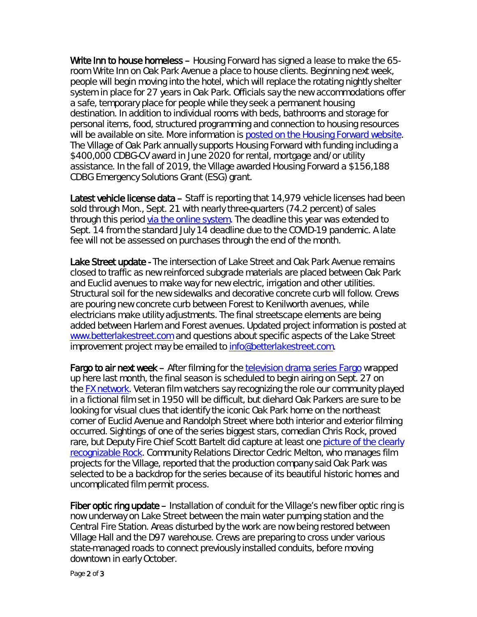Write Inn to house homeless – Housing Forward has signed a lease to make the 65room Write Inn on Oak Park Avenue a place to house clients. Beginning next week, people will begin moving into the hotel, which will replace the rotating nightly shelter system in place for 27 years in Oak Park. Officials say the new accommodations offer a safe, temporary place for people while they seek a permanent housing destination. In addition to individual rooms with beds, bathrooms and storage for personal items, food, structured programming and connection to housing resources will be available on site. More information is [posted on the Housing Forward](https://oakparkhomelessnesscoalition.cmail19.com/t/ViewEmail/y/3CB4743B20E6823B/525396ED6A28B89ED3AB5F5EEC5F0895) website. The Village of Oak Park annually supports Housing Forward with funding including a \$400,000 CDBG-CV award in June 2020 for rental, mortgage and/or utility assistance. In the fall of 2019, the Village awarded Housing Forward a \$156,188 CDBG Emergency Solutions Grant (ESG) grant.

Latest vehicle license data – Staff is reporting that 14,979 vehicle licenses had been sold through Mon., Sept. 21 with nearly three-quarters (74.2 percent) of sales through this period [via the online system.](https://oakpark.cmrpay.com/permits/login) The deadline this year was extended to Sept. 14 from the standard July 14 deadline due to the COVID-19 pandemic. A late fee will not be assessed on purchases through the end of the month.

Lake Street update - The intersection of Lake Street and Oak Park Avenue remains closed to traffic as new reinforced subgrade materials are placed between Oak Park and Euclid avenues to make way for new electric, irrigation and other utilities. Structural soil for the new sidewalks and decorative concrete curb will follow. Crews are pouring new concrete curb between Forest to Kenilworth avenues, while electricians make utility adjustments. The final streetscape elements are being added between Harlem and Forest avenues. Updated project information is posted at [www.betterlakestreet.com](http://www.betterlakestreet.com/) and questions about specific aspects of the Lake Street improvement project may be emailed to [info@betterlakestreet.com.](mailto:info@betterlakestreet.com)

Fargo to air next week – After filming for the television [drama series Fargo](https://www.fxnetworks.com/shows/fargo) wrapped up here last month, the final season is scheduled to begin airing on Sept. 27 on the [FX network.](https://www.fxnetworks.com/) Veteran film watchers say recognizing the role our community played in a fictional film set in 1950 will be difficult, but diehard Oak Parkers are sure to be looking for visual clues that identify the iconic Oak Park home on the northeast corner of Euclid Avenue and Randolph Street where both interior and exterior filming occurred. Sightings of one of the series biggest stars, comedian Chris Rock, proved rare, but Deputy Fire Chief Scott Bartelt did capture at least one picture [of the clearly](https://www.oak-park.us/sites/default/files/456678891/rock-cropped.jpg)  [recognizable Rock.](https://www.oak-park.us/sites/default/files/456678891/rock-cropped.jpg) Community Relations Director Cedric Melton, who manages film projects for the Village, reported that the production company said Oak Park was selected to be a backdrop for the series because of its beautiful historic homes and uncomplicated film permit process.

Fiber optic ring update – Installation of conduit for the Village's new fiber optic ring is now underway on Lake Street between the main water pumping station and the Central Fire Station. Areas disturbed by the work are now being restored between Village Hall and the D97 warehouse. Crews are preparing to cross under various state-managed roads to connect previously installed conduits, before moving downtown in early October.